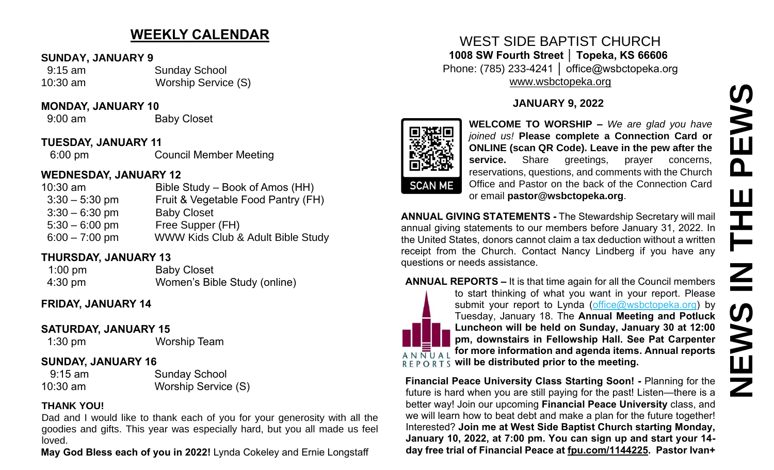# **WEEKLY CALENDAR**

#### **SUNDAY, JANUARY 9**

 9:15 am Sunday School 10:30 am Worship Service (S)

#### **MONDAY, JANUARY 10**

9:00 am Baby Closet

### **TUESDAY, JANUARY 11**

6:00 pm Council Member Meeting

## **WEDNESDAY, JANUARY 12**

| $10:30$ am       | Bible Study – Book of Amos (HH)    |
|------------------|------------------------------------|
| $3:30 - 5:30$ pm | Fruit & Vegetable Food Pantry (FH) |
| $3:30 - 6:30$ pm | <b>Baby Closet</b>                 |
| $5:30 - 6:00$ pm | Free Supper (FH)                   |
| $6:00 - 7:00$ pm | WWW Kids Club & Adult Bible Study  |

### **THURSDAY, JANUARY 13**

| $1:00$ pm         | <b>Baby Closet</b>           |
|-------------------|------------------------------|
| $4:30 \text{ pm}$ | Women's Bible Study (online) |

### **FRIDAY, JANUARY 14**

### **SATURDAY, JANUARY 15**

1:30 pm Worship Team

#### **SUNDAY, JANUARY 16**

 9:15 am Sunday School 10:30 am Worship Service (S)

#### **THANK YOU!**

Dad and I would like to thank each of you for your generosity with all the goodies and gifts. This year was especially hard, but you all made us feel loved.

**May God Bless each of you in 2022!** Lynda Cokeley and Ernie Longstaff

## WEST SIDE BAPTIST CHURCH **1008 SW Fourth Street │ Topeka, KS 66606** Phone: (785) 233-4241 │ office@wsbctopeka.org [www.wsbctopeka.org](http://www.wsbctopeka.org/)

### **JANUARY 9, 2022**



**WELCOME TO WORSHIP –** *We are glad you have joined us!* **Please complete a Connection Card or ONLINE (scan QR Code). Leave in the pew after the**  service. Share greetings, prayer concerns, reservations, questions, and comments with the Church Office and Pastor on the back of the Connection Card or email **pastor@wsbctopeka.org**.

**ANNUAL GIVING STATEMENTS -** The Stewardship Secretary will mail annual giving statements to our members before January 31, 2022. In the United States, donors cannot claim a tax deduction without a written receipt from the Church. Contact Nancy Lindberg if you have any questions or needs assistance.

#### **ANNUAL REPORTS –** It is that time again for all the Council members to start thinking of what you want in your report. Please submit your report to Lynda [\(office@wsbctopeka.org\)](mailto:office@wsbctopeka.org) by Tuesday, January 18. The **Annual Meeting and Potluck Luncheon will be held on Sunday, January 30 at 12:00 pm, downstairs in Fellowship Hall. See Pat Carpenter for more information and agenda items. Annual reports**   $AN$  $\overline{NU}$  $AL$  $R \to R \times R$  will be distributed prior to the meeting.

**Financial Peace University Class Starting Soon! -** Planning for the future is hard when you are still paying for the past! Listen—there is a better way! Join our upcoming **Financial Peace University** class, and we will learn how to beat debt and make a plan for the future together! Interested? **Join me at West Side Baptist Church starting Monday, January 10, 2022, at 7:00 pm. You can sign up and start your 14 day free trial of Financial Peace at [fpu.com/1144225.](http://fpu.com/1144225?fbclid=IwAR3-cELG2VK4ftXEKNP5jaVAz9yre0E8QNNeVgzl9TxVOUwyeYgRjBqf4K0) Pastor Ivan+**